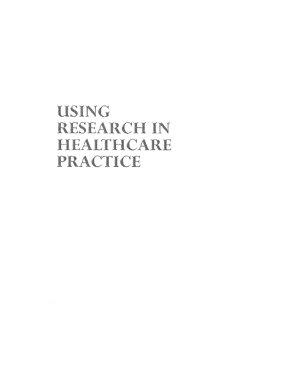## USING RESEARCH IN HEALTHCARE PRACTICE

 $\mathcal{L}^{\mathcal{L}}$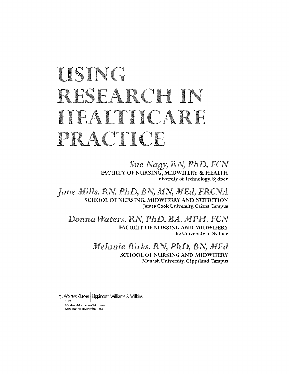# USING RESEARCH IN HEALTHCARE PRACTICE

*Sue Na9Y,* RN, PhD, FCN **FACULTY OF NURSING, MIDWIFERY & HEALTH University of Technology, Sydney** 

Jane Mills, RN, PhD, BN, MN, MEd, FRCNA **SCHOOL OF NURSING, MIDWIFERY AND NUTRITION James Cook University, Cairns Campus** 

Donna Waters, RN, PhD, BA, MPH, FCN **FACULTY OF NURSING AND MIDWIFERY The University of Sydney** 

> *Melanie Birks, RN, PhD, BN, MEd* **SCHOOL OF NURSING AND MIDWIFERY Monash University, Gippsland Campus**

,~~} ~?!\;er5 Kluwer I Lippincott Williams & Wilkins Philadelphia • Baltimore • New York • London Buenos Aires • Hong Kong • Sydney • Tokyo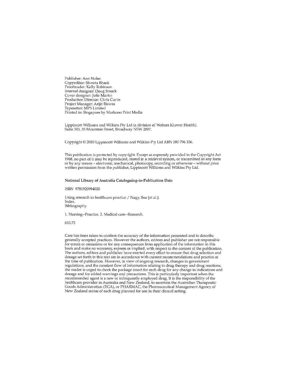Publisher: Ann Nolan Copyeditor: Shweta Sharti Proofreader: Kellv Robinson Internal designer; Doug Smock Cover designer: Julie Martin Production Director: Chris Curtis Project Manager: Arijit Biswas Typesetter: MPS Limited Printed in: Singapore by Markono Print Media

Lippincott Williams and Wilkins Pty Ltd (a division of Wolters Kluwer Health), Suite 303, 55 Mountain Street, Broadway NSW 2007.

Copyright © 2010 Lippincott Williams and Wilkins Pty Ltd ABN 080 796 336.

This publication is protected by copyright. Except as expressly provided in the Copyright Act 1968, no part of it may be reproduced, stored in a retrieval system, or transmitted in any form or by any means - electronic, mechanical, photocopy, recording or otherwise - without prior written permission from the publisher, Lippincott Williams and Wilkins Pty Ltd.

#### National Library of Australia Cataloguing-in-Publication Data

ISBN 9781920994020

Using research in healthcare practice / Nagy, Sue [et al.]. Index. Bibliography

1. Nursing--Practice. 2. Medical care--Research.

610.73

Care has been taken to confirm the accuracy of the information presented and to describe generally accepted practices. However the authors, editors and publisher are not responsible for errors or omissions or for any consequences from application of the information in this book and make no warranty, express or implied, with respect to the content of the publication. The authors, editors and publisher have exerted every effort to ensure that drug selection and dosage set forth in this text are in accordance with current recommendations and practice at the time of publication. However, in view of ongoing research, changes in government regulations, and the constant flow of information relating to drug therapy and drug reactions, tbe reader is urged to check the package insert for each drug for any change in indications and dosage and for added warnings and precautions. This is particularly important when the recommended agent is a new or infrequently employed drug. It is the responsibility of the heaHhcare provider in Australia and New Zealand, to ascertain the Australian Therapeutic GoodsAdministration (TGA), or PHARMAC, the Pharmaceutical Management Agency of New Zealand status of each drug plarmed for use in their clinical setting.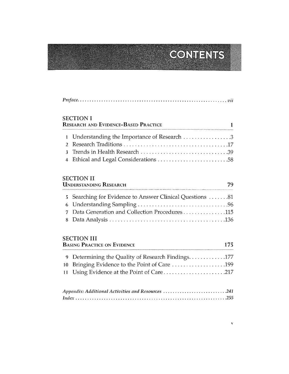### **CONTENTS®**

| <b>SECTION I</b><br><b>RESEARCH AND EVIDENCE-BASED PRACTICE</b> |
|-----------------------------------------------------------------|
|                                                                 |
|                                                                 |
|                                                                 |
|                                                                 |
|                                                                 |

#### SECTION II

| <b>UNDERSTANDING RESEARCH</b> |                                                          |  |
|-------------------------------|----------------------------------------------------------|--|
|                               | 5 Searching for Evidence to Answer Clinical Questions 81 |  |
|                               |                                                          |  |
|                               | 7 Data Generation and Collection Procedures115           |  |
|                               |                                                          |  |

#### SECTION III

| <b>BASING PRACTICE ON EVIDENCE</b> |                                                     |  |
|------------------------------------|-----------------------------------------------------|--|
|                                    | 9 Determining the Quality of Research Findings. 177 |  |
|                                    |                                                     |  |
|                                    |                                                     |  |
|                                    |                                                     |  |

| Appendix: Additional Activities and Resources 241 |  |
|---------------------------------------------------|--|
|                                                   |  |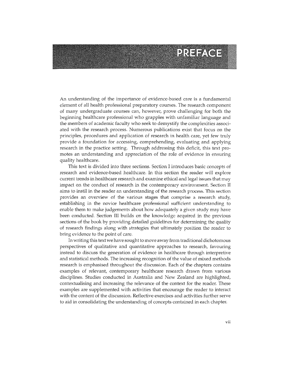### PREFACE

An understanding of the importance of evidence-based care is a fundamental element of all health professional preparatory courses. The research component of many undergraduate courses can, however, prove challenging for both the beginning healthcare professional who grapples with unfamiliar language arid the members of academic faculty who seek to demystify the complexities associated with the research process. Numerous publications exist that focus on the principles, procedures and application of research in health care, yet few truly provide a foundation for accessing, comprehending, evaluating and applying research in the practice setting. Through addressing this deficit, this text promotes an understanding and appreciation of the role of evidence in ensuring quality healthcare.

This text is divided into three sections. Section I introduces basic concepts of research and evidence-based healthcare. In this section the reader will explore current trends in healthcare research and examine ethical and legal issues that may impact on the conduct of research in the contemporary environment. Section II aims to instil in the reader an understanding of the research process. This section provides an overview of the various stages that comprise a research study, establishing in the novice healthcare professional sufficient understanding to enable them to make judgements about how adequately a given study may have been conducted. Section III builds on the knowledge acquired in the previous sections of the book by providing detailed guidelines for determining the quality of research findings along with strategies that ultimately position the reader to bring evidence to the point of care.

In writing this text we have sought to move away from h'aditional dichotomous perspectives of qualitative and quantitative approaches to research, favouring instead to discuss the generation of evidence in healthcare through interpretive and statistical methods. The increasing recognition of the value of mixed methods research is emphasised throughout the discussion. Each of the chapters contains examples of relevant, contemporary healthcare research drawn from various disciplines, Studies conducted in Australia and New Zealand are highlighted, contextualising and increasing the relevance of the context for the reader. These examples are supplemented with activities that encourage the reader to interact with the content of the discussion. Reflective exercises and activities further serve to aid in consolidating the understanding of concepts contained in each chapter.